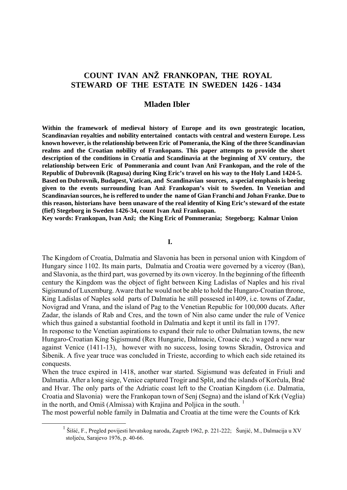# **COUNT IVAN ANŽ FRANKOPAN, THE ROYAL STEWARD OF THE ESTATE IN SWEDEN 1426 - 1434**

## **Mladen Ibler**

**Within the framework of medieval history of Europe and its own geostrategic location, Scandinavian royalties and nobility entertained contacts with central and western Europe. Less known however, is the relationship between Eric of Pomerania, the King of the three Scandinavian realms and the Croatian nobility of Frankopans. This paper attempts to provide the short description of the conditions in Croatia and Scandinavia at the beginning of XV century, the relationship between Eric of Pommerania and count Ivan Anž Frankopan, and the role of the Republic of Dubrovnik (Ragusa) during King Eric's travel on his way to the Holy Land 1424-5. Based on Dubrovnik, Budapest, Vatican, and Scandinavian sources, a special emphasis is beeing given to the events surrounding Ivan Anž Frankopan's visit to Sweden. In Venetian and Scandinavian sources, he is reffered to under the name of Gian Franchi and Johan Franke. Due to this reason, historians have been unaware of the real identity of King Eric's steward of the estate (fief) Stegeborg in Sweden 1426-34, count Ivan Anž Frankopan.** 

**Key words: Frankopan, Ivan Anž; the King Eric of Pommerania; Stegeborg; Kalmar Union** 

## **I.**

The Kingdom of Croatia, Dalmatia and Slavonia has been in personal union with Kingdom of Hungary since 1102. Its main parts, Dalmatia and Croatia were governed by a viceroy (Ban), and Slavonia, as the third part, was governed by its own viceroy. In the beginning of the fifteenth century the Kingdom was the object of fight between King Ladislas of Naples and his rival Sigismund of Luxemburg. Aware that he would not be able to hold the Hungaro-Croatian throne, King Ladislas of Naples sold parts of Dalmatia he still possesed in1409, i.e. towns of Zadar, Novigrad and Vrana, and the island of Pag to the Venetian Republic for 100,000 ducats. After Zadar, the islands of Rab and Cres, and the town of Nin also came under the rule of Venice which thus gained a substantial foothold in Dalmatia and kept it until its fall in 1797.

In response to the Venetian aspirations to expand their rule to other Dalmatian towns, the new Hungaro-Croatian King Sigismund (Rex Hungarie, Dalmacie, Croacie etc.) waged a new war against Venice (1411-13), however with no success, losing towns Skradin, Ostrovica and Šibenik. A five year truce was concluded in Trieste, according to which each side retained its conquests.

When the truce expired in 1418, another war started. Sigismund was defeated in Friuli and Dalmatia. After a long siege, Venice captured Trogir and Split, and the islands of Korčula, Brač and Hvar. The only parts of the Adriatic coast left to the Croatian Kingdom (i.e. Dalmatia, Croatia and Slavonia) were the Frankopan town of Senj (Segna) and the island of Krk (Veglia) in the north, and Omiš (Almissa) with Krajina and Poliica in the south.  $1$ 

The most powerful noble family in Dalmatia and Croatia at the time were the Counts of Krk

<span id="page-0-0"></span> $\begin{array}{c|c}\n\hline\n\text{1}\n\end{array}$ <sup>1</sup> Šišić, F., Pregled povijesti hrvatskog naroda, Zagreb 1962, p. 221-222; Šunjić, M., Dalmacija u XV stoljeću, Sarajevo 1976, p. 40-66.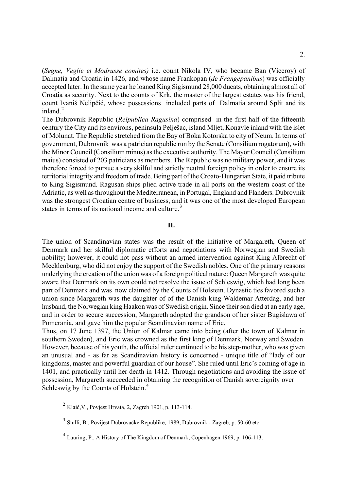(*Segne, Veglie et Modrusse comites)* i.e. count Nikola IV, who became Ban (Viceroy) of Dalmatia and Croatia in 1426, and whose name Frankopan (*de Frangepanibus*) was officially accepted later. In the same year he loaned King Sigismund 28,000 ducats, obtaining almost all of Croatia as security. Next to the counts of Krk, the master of the largest estates was his friend, count Ivaniš Nelipčić, whose possessions included parts of Dalmatia around Split and its inland. $^{2}$  $^{2}$  $^{2}$ 

The Dubrovnik Republic (*Reipublica Ragusina*) comprised in the first half of the fifteenth century the City and its environs, peninsula Pelješac, island Mljet, Konavle inland with the islet of Molunat. The Republic stretched from the Bay of Boka Kotorska to city of Neum. In terms of government, Dubrovnik was a patrician republic run by the Senate (Consilium rogatorum), with the Minor Council (Consilium minus) as the executive authority. The Mayor Council (Consilium maius) consisted of 203 patricians as members. The Republic was no military power, and it was therefore forced to pursue a very skilful and strictly neutral foreign policy in order to ensure its territorial integrity and freedom of trade. Being part of the Croato-Hungarian State, it paid tribute to King Sigismund. Ragusan ships plied active trade in all ports on the western coast of the Adriatic, as well as throughout the Mediterranean, in Portugal, England and Flanders. Dubrovnik was the strongest Croatian centre of business, and it was one of the most developed European states in terms of its national income and culture.<sup>[3](#page-1-1)</sup>

#### **II.**

The union of Scandinavian states was the result of the initiative of Margareth, Queen of Denmark and her skilful diplomatic efforts and negotiations with Norwegian and Swedish nobility; however, it could not pass without an armed intervention against King Albrecht of Mecklenburg, who did not enjoy the support of the Swedish nobles. One of the primary reasons underlying the creation of the union was of a foreign political nature: Queen Margareth was quite aware that Denmark on its own could not resolve the issue of Schleswig, which had long been part of Denmark and was now claimed by the Counts of Holstein. Dynastic ties favored such a union since Margareth was the daughter of of the Danish king Waldemar Atterdag, and her husband, the Norwegian king Haakon was of Swedish origin. Since their son died at an early age, and in order to secure succession, Margareth adopted the grandson of her sister Bugislawa of Pomerania, and gave him the popular Scandinavian name of Eric.

Thus, on 17 June 1397, the Union of Kalmar came into being (after the town of Kalmar in southern Sweden), and Eric was crowned as the first king of Denmark, Norway and Sweden. However, because of his youth, the official ruler continued to be his step-mother, who was given an unusual and - as far as Scandinavian history is concerned - unique title of "lady of our kingdoms, master and powerful guardian of our house". She ruled until Eric's coming of age in 1401, and practically until her death in 1412. Through negotiations and avoiding the issue of possession, Margareth succeeded in obtaining the recognition of Danish sovereignity over Schleswig by the Counts of Holstein.<sup>[4](#page-1-2)</sup>

<span id="page-1-0"></span> $^{2}$  Klaić, V., Povjest Hrvata, 2, Zagreb 1901, p. 113-114.

<span id="page-1-1"></span><sup>3</sup> Stulli, B., Povijest Dubrovačke Republike, 1989, Dubrovnik - Zagreb, p. 50-60 etc.

<span id="page-1-2"></span><sup>4</sup> Lauring, P., A History of The Kingdom of Denmark, Copenhagen 1969, p. 106-113.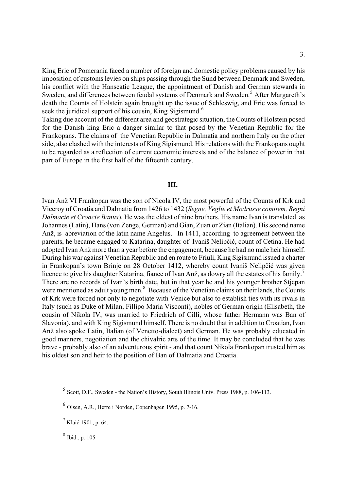King Eric of Pomerania faced a number of foreign and domestic policy problems caused by his imposition of customs levies on ships passing through the Sund between Denmark and Sweden, his conflict with the Hanseatic League, the appointment of Danish and German stewards in Sweden, and differences between feudal systems of Denmark and Sweden.<sup>[5](#page-2-0)</sup> After Margareth's death the Counts of Holstein again brought up the issue of Schleswig, and Eric was forced to seek the juridical support of his cousin, King Sigismund.<sup>[6](#page-2-1)</sup>

Taking due account of the different area and geostrategic situation, the Counts of Holstein posed for the Danish king Eric a danger similar to that posed by the Venetian Republic for the Frankopans. The claims of the Venetian Republic in Dalmatia and northern Italy on the other side, also clashed with the interests of King Sigismund. His relations with the Frankopans ought to be regarded as a reflection of current economic interests and of the balance of power in that part of Europe in the first half of the fifteenth century.

#### **III.**

Ivan Anž VI Frankopan was the son of Nicola IV, the most powerful of the Counts of Krk and Viceroy of Croatia and Dalmatia from 1426 to 1432 (*Segne, Veglie et Modrusse comitem, Regni Dalmacie et Croacie Banus*). He was the eldest of nine brothers. His name Ivan is translated as Johannes (Latin), Hans (von Zenge, German) and Gian, Zuan or Zian (Italian). His second name Anž, is abreviation of the latin name Angelus. In 1411, according to agreement between the parents, he became engaged to Katarina, daughter of Ivaniš Nelipčić, count of Cetina. He had adopted Ivan Anž more than a year before the engagement, because he had no male heir himself. During his war against Venetian Republic and en route to Friuli, King Sigismund issued a charter in Frankopan's town Brinje on 28 October 1412, whereby count Ivaniš Nelipčić was given licence to give his daughter Katarina, fiance of Ivan Anž, as dowry all the estates of his family.<sup>[7](#page-2-2)</sup> There are no records of Ivan's birth date, but in that year he and his younger brother Stjepan were mentioned as adult young men.<sup>[8](#page-2-3)</sup> Because of the Venetian claims on their lands, the Counts of Krk were forced not only to negotiate with Venice but also to establish ties with its rivals in Italy (such as Duke of Milan, Fillipo Maria Visconti), nobles of German origin (Elisabeth, the cousin of Nikola IV, was married to Friedrich of Cilli, whose father Hermann was Ban of Slavonia), and with King Sigismund himself. There is no doubt that in addition to Croatian, Ivan Anž also spoke Latin, Italian (of Venetto-dialect) and German. He was probably educated in good manners, negotiation and the chivalric arts of the time. It may be concluded that he was brave - probably also of an adventurous spirit - and that count Nikola Frankopan trusted him as his oldest son and heir to the position of Ban of Dalmatia and Croatia.

<span id="page-2-0"></span> <sup>5</sup> Scott, D.F., Sweden - the Nation's History, South Illinois Univ. Press 1988, p. 106-113.

<span id="page-2-1"></span> $6$  Olsen, A.R., Herre i Norden, Copenhagen 1995, p. 7-16.

<span id="page-2-2"></span><sup>&</sup>lt;sup>7</sup> Klaić 1901, p. 64.

<span id="page-2-3"></span> $8$  Ibid., p. 105.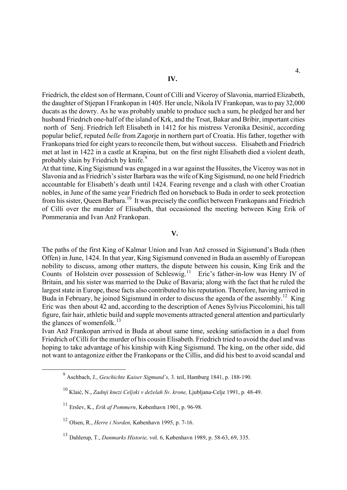Friedrich, the eldest son of Hermann, Count of Cilli and Viceroy of Slavonia, married Elizabeth, the daughter of Stjepan I Frankopan in 1405. Her uncle, Nikola IV Frankopan, was to pay 32,000 ducats as the dowry. As he was probably unable to produce such a sum, he pledged her and her husband Friedrich one-half of the island of Krk, and the Trsat, Bakar and Bribir, important cities north of Senj. Friedrich left Elisabeth in 1412 for his mistress Veronika Desinić, according popular belief, reputed *belle* from Zagorje in northern part of Croatia. His father, together with Frankopans tried for eight years to reconcile them, but without success. Elisabeth and Friedrich met at last in 1422 in a castle at Krapina, but on the first night Elisabeth died a violent death, probably slain by Friedrich by knife.<sup>[9](#page-3-0)</sup>

At that time, King Sigismund was engaged in a war against the Hussites, the Viceroy was not in Slavonia and as Friedrich's sister Barbara was the wife of King Sigismund, no one held Friedrich accountable for Elisabeth's death until 1424. Fearing revenge and a clash with other Croatian nobles, in June of the same year Friedrich fled on horseback to Buda in order to seek protection from his sister, Queen Barbara.[10](#page-3-1) It was precisely the conflict between Frankopans and Friedrich of Cilli over the murder of Elisabeth, that occasioned the meeting between King Erik of Pommerania and Ivan Anž Frankopan.

# **V.**

The paths of the first King of Kalmar Union and Ivan Anž crossed in Sigismund's Buda (then Offen) in June, 1424. In that year, King Sigismund convened in Buda an assembly of European nobility to discuss, among other matters, the dispute between his cousin, King Erik and the Counts of Holstein over possession of Schleswig.<sup>[11](#page-3-2)</sup> Eric's father-in-low was Henry IV of Britain, and his sister was married to the Duke of Bavaria; along with the fact that he ruled the largest state in Europe, these facts also contributed to his reputation. Therefore, having arrived in Buda in February, he joined Sigismund in order to discuss the agenda of the assembly.<sup>[12](#page-3-3)</sup> King Eric was then about 42 and, according to the description of Aenes Sylvius Piccolomini, his tall figure, fair hair, athletic build and supple movements attracted general attention and particularly the glances of womenfolk. $^{13}$  $^{13}$  $^{13}$ 

Ivan Anž Frankopan arrived in Buda at about same time, seeking satisfaction in a duel from Friedrich of Cilli for the murder of his cousin Elisabeth. Friedrich tried to avoid the duel and was hoping to take advantage of his kinship with King Sigismund. The king, on the other side, did not want to antagonize either the Frankopans or the Cillis, and did his best to avoid scandal and

<span id="page-3-2"></span><span id="page-3-1"></span><span id="page-3-0"></span> $\frac{1}{\sqrt{9}}$ Aschbach, J., *Geschichte Kaiser Sigmund's,* 3. teil, Hamburg 1841, p. 188-190.

<sup>10</sup> Klaić, N., *Zadnji knezi Celjski v deželah Sv. krone,* Ljubljana-Celje 1991, p. 48-49.

<sup>11</sup> Erslev, K., *Erik af Pommern*, København 1901, p. 96-98.

<span id="page-3-3"></span><sup>12</sup> Olsen, R., *Herre i Norden,* København 1995, p. 7-16.

<span id="page-3-4"></span><sup>13</sup> Dahlerup, T., *Danmarks Historie,* vol. 6, København 1989, p. 58-63, 69, 335.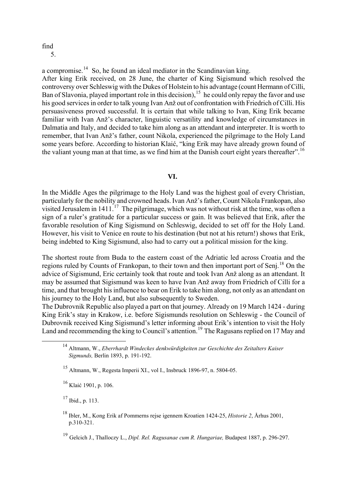### find 5.

a compromise.<sup>[14](#page-4-0)</sup> So, he found an ideal mediator in the Scandinavian king.

After king Erik received, on 28 June, the charter of King Sigismund which resolved the controversy over Schleswig with the Dukes of Holstein to his advantage (count Hermann of Cilli, Ban of Slavonia, played important role in this decision), <sup>[15](#page-4-1)</sup> he could only repay the favor and use his good services in order to talk young Ivan Anž out of confrontation with Friedrich of Cilli. His persuasiveness proved successful. It is certain that while talking to Ivan, King Erik became familiar with Ivan Anž's character, linguistic versatility and knowledge of circumstances in Dalmatia and Italy, and decided to take him along as an attendant and interpreter. It is worth to remember, that Ivan Anž's father, count Nikola, experienced the pilgrimage to the Holy Land some years before. According to historian Klaić, "king Erik may have already grown found of the valiant young man at that time, as we find him at the Danish court eight years thereafter".<sup>[16](#page-4-2)</sup>

### **VI.**

In the Middle Ages the pilgrimage to the Holy Land was the highest goal of every Christian, particularly for the nobility and crowned heads. Ivan Anž's father, Count Nikola Frankopan, also visited Jerusalem in  $1411<sup>17</sup>$  $1411<sup>17</sup>$  $1411<sup>17</sup>$  The pilgrimage, which was not without risk at the time, was often a sign of a ruler's gratitude for a particular success or gain. It was believed that Erik, after the favorable resolution of King Sigismund on Schleswig, decided to set off for the Holy Land. However, his visit to Venice en route to his destination (but not at his return!) shows that Erik, being indebted to King Sigismund, also had to carry out a political mission for the king.

The shortest route from Buda to the eastern coast of the Adriatic led across Croatia and the regions ruled by Counts of Frankopan, to their town and then important port of Seni.<sup>[18](#page-4-4)</sup> On the advice of Sigismund, Eric certainly took that route and took Ivan Anž along as an attendant. It may be assumed that Sigismund was keen to have Ivan Anž away from Friedrich of Cilli for a time, and that brought his influence to bear on Erik to take him along, not only as an attendant on his journey to the Holy Land, but also subsequently to Sweden.

<span id="page-4-0"></span>The Dubrovnik Republic also played a part on that journey. Already on 19 March 1424 - during King Erik's stay in Krakow, i.e. before Sigismunds resolution on Schleswig - the Council of Dubrovnik received King Sigismund's letter informing about Erik's intention to visit the Holy Land and recommending the king to Council's attention.<sup>19</sup> The Ragusans replied on 17 May and

<span id="page-4-2"></span>16 Klaić 1901, p. 106.

<span id="page-4-3"></span> $17$  Ibid., p. 113.

<span id="page-4-4"></span>18 Ibler, M., Kong Erik af Pommerns rejse igennem Kroatien 1424-25, *Historie 2*, Århus 2001, p.310-321.

<span id="page-4-5"></span><sup>19</sup> Gelcich J., Thalloczy L., *Dipl. Rel. Ragusanae cum R. Hungariae,* Budapest 1887, p. 296-297.

 <sup>14</sup> Altmann, W., *Eberrhardt Windeckes denkwürdigkeiten zur Geschichte des Zeitalters Kaiser Sigmunds,* Berlin 1893, p. 191-192.

<span id="page-4-1"></span><sup>15</sup> Altmann, W., Regesta Imperii XI., vol I., Insbruck 1896-97, n. 5804-05.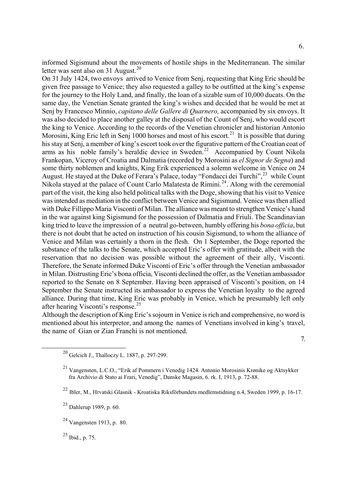informed Sigismund about the movements of hostile ships in the Mediterranean. The similar letter was sent also on 31 August.<sup>[20](#page-5-0)</sup>

On 31 July 1424, two envoys arrived to Venice from Senj, requesting that King Eric should be given free passage to Venice; they also requested a galley to be outfitted at the king's expense for the journey to the Holy Land, and finally, the loan of a sizable sum of 10,000 ducats. On the same day, the Venetian Senate granted the king's wishes and decided that he would be met at Senj by Francesco Minnio, *capitano delle Gallere di Quarnero,* accompanied by six envoys. It was also decided to place another galley at the disposal of the Count of Senj, who would escort the king to Venice. According to the records of the Venetian chronicler and historian Antonio Morosini, King Eric left in Senj 1000 horses and most of his escort.<sup>[21](#page-5-1)</sup> It is possible that during his stay at Senj, a member of king's escort took over the figurative pattern of the Croatian coat of arms as his noble family's heraldic device in Sweden.<sup>[22](#page-5-2)</sup> Accompanied by Count Nikola Frankopan, Viceroy of Croatia and Dalmatia (recorded by Morosini as *el Signor de Segna*) and some thirty noblemen and knights, King Erik experienced a solemn welcome in Venice on 24 August. He stayed at the Duke of Ferara's Palace, today "Fondacci dei Turchi",<sup>[23](#page-5-3)</sup> while Count Nikola stayed at the palace of Count Carlo Malatesta de Rimini.<sup>24</sup>. Along with the ceremonial part of the visit, the king also held political talks with the Doge, showing that his visit to Venice was intended as mediation in the conflict between Venice and Sigismund. Venice was then allied with Duke Fillippo Maria Visconti of Milan. The alliance was meant to strengthen Venice's hand in the war against king Sigismund for the possession of Dalmatia and Friuli. The Scandinavian king tried to leave the impression of a neutral go-between, humbly offering his *bona officia*, but there is not doubt that he acted on instruction of his cousin Sigismund, to whom the alliance of Venice and Milan was certainly a thorn in the flesh. On 1 September, the Doge reported the substance of the talks to the Senate, which accepted Eric's offer with gratitude, albeit with the reservation that no decision was possible without the agreement of their ally, Visconti. Therefore, the Senate informed Duke Visconti of Eric's offer through the Venetian ambassador in Milan. Distrusting Eric's bona officia, Visconti declined the offer, as the Venetian ambassador reported to the Senate on 8 September. Having been appraised of Visconti's position, on 14 September the Senate instructed its ambassador to express the Venetian loyalty to the agreed alliance. During that time, King Eric was probably in Venice, which he presumably left only after hearing Visconti's response.[25](#page-5-5)

<span id="page-5-0"></span>Although the description of King Eric's sojourn in Venice is rich and comprehensive, no word is mentioned about his interpretor, and among the names of Venetians involved in king's travel, the name of Gian or Zian Franchi is not mentioned.

<span id="page-5-5"></span> $^{25}$  Ibid., p. 75.

 <sup>7.</sup> 

 <sup>20</sup> Gelcich J., Thalloczy L. 1887, p. 297-299.

<span id="page-5-1"></span><sup>21</sup> Vangensten, L.C.O., "Erik af Pommern i Venedig 1424. Antonio Morosinis Krønike og Aktsykker fra Archivio di Stato ai Frari, Venedig", Danske Magasin, 6. rk. I, 1913, p. 72-88.

<span id="page-5-2"></span><sup>22</sup> Ibler, M., Hrvatski Glasnik - Kroatiska Riksförbundets medlemstidning n.4, Sweden 1999, p. 16-17.

<span id="page-5-3"></span> $^{23}$  Dahlerup 1989, p. 60.

<span id="page-5-4"></span><sup>24</sup> Vangensten 1913, p. 80.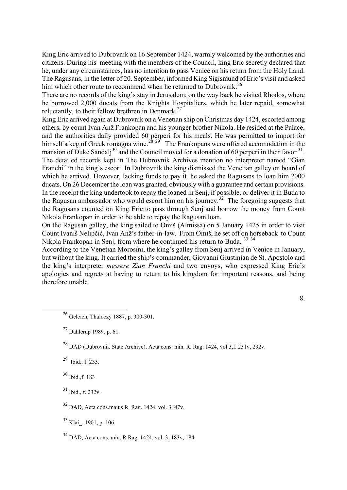King Eric arrived to Dubrovnik on 16 September 1424, warmly welcomed by the authorities and citizens. During his meeting with the members of the Council, king Eric secretly declared that he, under any circumstances, has no intention to pass Venice on his return from the Holy Land. The Ragusans, in the letter of 20. September, informed King Sigismund of Eric's visit and asked him which other route to recommend when he returned to Dubrovnik.<sup>[26](#page-6-0)</sup>

There are no records of the king's stay in Jerusalem; on the way back he visited Rhodos, where he borrowed 2,000 ducats from the Knights Hospitaliers, which he later repaid, somewhat reluctantly, to their fellow brethren in Denmark.<sup>[27](#page-6-1)</sup>

King Eric arrived again at Dubrovnik on a Venetian ship on Christmas day 1424, escorted among others, by count Ivan Anž Frankopan and his younger brother Nikola. He resided at the Palace, and the authorities daily provided 60 perperi for his meals. He was permitted to import for himself a keg of Greek romagna wine.<sup>[28](#page-6-2)</sup> <sup>[29](#page-6-3)</sup> The Frankopans were offered accomodation in the mansion of Duke Sandali<sup>[30](#page-6-4)</sup> and the Council moved for a donation of 60 perperi in their favor  $31$ . The detailed records kept in The Dubrovnik Archives mention no interpreter named "Gian Franchi" in the king's escort. In Dubrovnik the king dismissed the Venetian galley on board of which he arrived. However, lacking funds to pay it, he asked the Ragusans to loan him 2000 ducats. On 26 December the loan was granted, obviously with a guarantee and certain provisions. In the receipt the king undertook to repay the loaned in Senj, if possible, or deliver it in Buda to the Ragusan ambassador who would escort him on his journey.<sup>[32](#page-6-6)</sup> The foregoing suggests that the Ragusans counted on King Eric to pass through Senj and borrow the money from Count Nikola Frankopan in order to be able to repay the Ragusan loan.

On the Ragusan galley, the king sailed to Omiš (Almissa) on 5 January 1425 in order to visit Count Ivaniš Nelipčić, Ivan Anž's father-in-law. From Omiš, he set off on horseback to Count Nikola Frankopan in Senj, from where he continued his return to Buda. <sup>[33](#page-6-7) [34](#page-6-8)</sup>

According to the Venetian Morosini, the king's galley from Senj arrived in Venice in January, but without the king. It carried the ship's commander, Giovanni Giustinian de St. Apostolo and the king's interpreter *messere Zian Franchi* and two envoys, who expressed King Eric's apologies and regrets at having to return to his kingdom for important reasons, and being therefore unable

8.

<span id="page-6-3"></span> $^{29}$  Ibid., f. 233.

<span id="page-6-4"></span>30 Ibid.,f. 183

<span id="page-6-5"></span>31 Ibid., f. 232v.

<span id="page-6-6"></span> $32$  DAD, Acta cons.maius R. Rag. 1424, vol. 3, 47v.

<span id="page-6-7"></span><sup>33</sup> Klai<sub>, 1901, p. 106.</sub>

<span id="page-6-8"></span>34 DAD, Acta cons. min. R.Rag. 1424, vol. 3, 183v, 184.

<span id="page-6-0"></span> <sup>26</sup> Gelcich, Thaloczy 1887, p. 300-301.

<span id="page-6-1"></span> $27$  Dahlerup 1989, p. 61.

<span id="page-6-2"></span> $^{28}$  DAD (Dubrovnik State Archive), Acta cons. min. R. Rag. 1424, vol 3.f. 231v, 232v.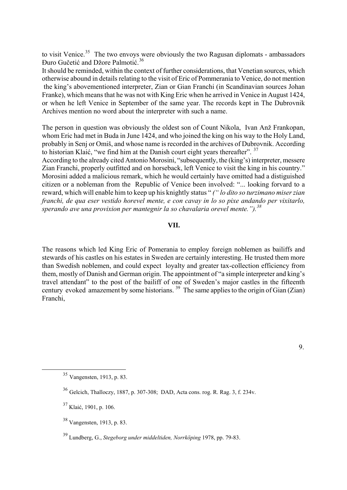to visit Venice.<sup>[35](#page-7-0)</sup> The two envoys were obviously the two Ragusan diplomats - ambassadors Ðuro Gučetić and Džore Palmotić. [36](#page-7-1)

It should be reminded, within the context of further considerations, that Venetian sources, which otherwise abound in details relating to the visit of Eric of Pommerania to Venice, do not mention the king's abovementioned interpreter, Zian or Gian Franchi (in Scandinavian sources Johan Franke), which means that he was not with King Eric when he arrived in Venice in August 1424, or when he left Venice in September of the same year. The records kept in The Dubrovnik Archives mention no word about the interpreter with such a name.

The person in question was obviously the oldest son of Count Nikola, Ivan Anž Frankopan, whom Eric had met in Buda in June 1424, and who joined the king on his way to the Holy Land, probably in Senj or Omiš, and whose name is recorded in the archives of Dubrovnik. According to historian Klaić, "we find him at the Danish court eight years thereafter".  $37$ 

According to the already cited Antonio Morosini, "subsequently, the (king's) interpreter, messere Zian Franchi, properly outfitted and on horseback, left Venice to visit the king in his country." Morosini added a malicious remark, which he would certainly have omitted had a distiguished citizen or a nobleman from the Republic of Venice been involved: "... looking forvard to a reward, which will enable him to keep up his knightly status " *(" lo dito so turzimano miser zian franchi, de qua eser vestido horevel mente, e con cavay in lo so pixe andando per vixitarlo, sperando ave una provixion per mantegnir la so chavalaria orevel mente.").[38](#page-7-3)*

# **VII.**

The reasons which led King Eric of Pomerania to employ foreign noblemen as bailiffs and stewards of his castles on his estates in Sweden are certainly interesting. He trusted them more than Swedish noblemen, and could expect loyalty and greater tax-collection efficiency from them, mostly of Danish and German origin. The appointment of "a simple interpreter and king's travel attendant" to the post of the bailiff of one of Sweden's major castles in the fifteenth century evoked amazement by some historians.  $39$  The same applies to the origin of Gian (Zian) Franchi,

<span id="page-7-0"></span> <sup>35</sup> Vangensten, 1913, p. 83.

<span id="page-7-1"></span><sup>36</sup> Gelcich, Thalloczy, 1887, p. 307-308; DAD, Acta cons. rog. R. Rag. 3, f. 234v.

<span id="page-7-2"></span> $37$  Klaić, 1901, p. 106.

<span id="page-7-3"></span><sup>38</sup> Vangensten, 1913, p. 83.

<span id="page-7-4"></span><sup>39</sup> Lundberg, G., *Stegeborg under middeltiden, Norrköping* 1978, pp. 79-83.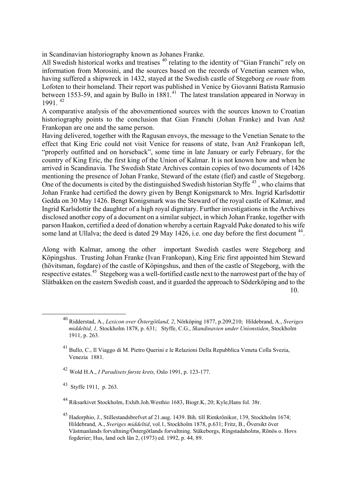in Scandinavian historiography known as Johanes Franke.

All Swedish historical works and treatises  $40$  relating to the identity of "Gian Franchi" rely on information from Morosini, and the sources based on the records of Venetian seamen who, having suffered a shipwreck in 1432, stayed at the Swedish castle of Stegeborg *en route* from Lofoten to their homeland. Their report was published in Venice by Giovanni Batista Ramusio between 1553-59, and again by Bullo in 1881.<sup>[41](#page-8-1)</sup> The latest translation appeared in Norway in 1991. [42](#page-8-2)

A comparative analysis of the abovementioned sources with the sources known to Croatian historiography points to the conclusion that Gian Franchi (Johan Franke) and Ivan Anž Frankopan are one and the same person.

Having delivered, together with the Ragusan envoys, the message to the Venetian Senate to the effect that King Eric could not visit Venice for reasons of state, Ivan Anž Frankopan left, "properly outfitted and on horseback", some time in late January or early February, for the country of King Eric, the first king of the Union of Kalmar. It is not known how and when he arrived in Scandinavia. The Swedish State Archives contain copies of two documents of 1426 mentioning the presence of Johan Franke, Steward of the estate (fief) and castle of Stegeborg. One of the documents is cited by the distinguished Swedish historian Styffe<sup> $43$ </sup>, who claims that Johan Franke had certified the dowry given by Bengt Konigsmarck to Mrs. Ingrid Karlsdottir Gedda on 30 May 1426. Bengt Konigsmark was the Steward of the royal castle of Kalmar, and Ingrid Karlsdottir the daughter of a high royal dignitary. Further investigations in the Archives disclosed another copy of a document on a similar subject, in which Johan Franke, together with parson Haakon, certified a deed of donation whereby a certain Ragvald Puke donated to his wife some land at Ullalva; the deed is dated 29 May 1426, i.e. one day before the first document <sup>[44](#page-8-4)</sup>.

Along with Kalmar, among the other important Swedish castles were Stegeborg and Köpingshus. Trusting Johan Franke (Ivan Frankopan), King Eric first appointed him Steward (hövitsman, fogdare) of the castle of Köpingshus, and then of the castle of Stegeborg, with the respective estates.[45](#page-8-5) Stegeborg was a well-fortified castle next to the narrowest part of the bay of Slätbakken on the eastern Swedish coast, and it guarded the approach to Söderköping and to the 10.

<span id="page-8-2"></span><sup>42</sup> Wold H.A., *I Paradisets første krets,* Oslo 1991, p. 123-177.

<span id="page-8-3"></span>43 Styffe 1911, p. 263.

<span id="page-8-0"></span> <sup>40</sup> Ridderstad, A., *Lexicon over Östergötland, 2*, Nörköping 1877, p.209,210; Hildebrand, A., *Sveriges middeltid, 1,* Stockholm 1878, p. 631; Styffe, C.G., *Skandinavien under Unionstiden*, Stockholm 1911, p. 263.

<span id="page-8-1"></span><sup>41</sup> Bullo, C., Il Viaggo di M. Pietro Querini e le Relazioni Della Repubblica Veneta Colla Svezia, Venezia 1881.

<span id="page-8-4"></span><sup>44</sup> Riksarkivet Stockholm, Exhib.Joh.Westhio 1683, Biogr.K, 20; Kyle,Hans fol. 38r.

<span id="page-8-5"></span><sup>45</sup> Hadorphio, J., Stillestandsbrefvet af 21.aug. 1439. Bih. till Rimkrönikor, 139, Stockholm 1674; Hildebrand, A., *Sveriges middeltid*, vol.1, Stockholm 1878, p.631; Fritz, B., Översikt över Västmanlands forvaltning/Östergötlands forvaltning. Stäkeborgs, Ringstadaholms, Rönös o. Hovs fogderier; Hus, land och län 2, (1973) ed. 1992, p. 44, 89.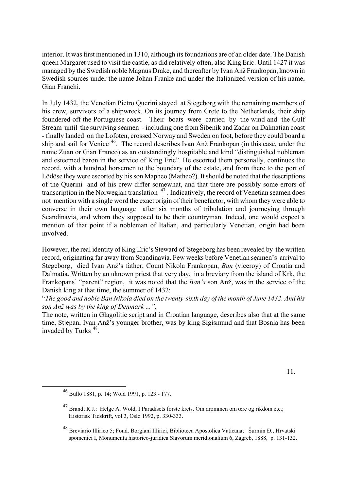interior. It was first mentioned in 1310, although its foundations are of an older date. The Danish queen Margaret used to visit the castle, as did relatively often, also King Eric. Until 1427 it was managed by the Swedish noble Magnus Drake, and thereafter by Ivan An**ž** Frankopan, known in Swedish sources under the name Johan Franke and under the Italianized version of his name, Gian Franchi.

In July 1432, the Venetian Pietro Querini stayed at Stegeborg with the remaining members of his crew, survivors of a shipwreck. On its journey from Crete to the Netherlands, their ship foundered off the Portuguese coast. Their boats were carried by the wind and the Gulf Stream until the surviving seamen - including one from Šibenik and Zadar on Dalmatian coast - finally landed on the Lofoten, crossed Norway and Sweden on foot, before they could board a ship and sail for Venice [46](#page-9-0). The record describes Ivan Anž Frankopan (in this case, under the name Zuan or Gian Franco) as an outstandingly hospitable and kind "distinguished nobleman and esteemed baron in the service of King Eric". He escorted them personally, continues the record, with a hundred horsemen to the boundary of the estate, and from there to the port of Lödöse they were escorted by his son Mapheo (Matheo?). It should be noted that the descriptions of the Querini and of his crew differ somewhat, and that there are possibly some errors of transcription in the Norwegian translation <sup>[47](#page-9-1)</sup>. Indicatively, the record of Venetian seamen does not mention with a single word the exact origin of their benefactor, with whom they were able to converse in their own language after six months of tribulation and journeying through Scandinavia, and whom they supposed to be their countryman. Indeed, one would expect a mention of that point if a nobleman of Italian, and particularly Venetian, origin had been involved.

However, the real identity of King Eric's Steward of Stegeborg has been revealed by the written record, originating far away from Scandinavia. Few weeks before Venetian seamen's arrival to Stegeborg, died Ivan Anž's father, Count Nikola Frankopan, *Ban* (viceroy) of Croatia and Dalmatia. Written by an uknown priest that very day, in a breviary from the island of Krk, the Frankopans' "parent" region, it was noted that the *Ban's* son Anž, was in the service of the Danish king at that time, the summer of 1432:

"*The good and noble Ban Nikola died on the twenty-sixth day of the month of June 1432. And his son Anž was by the king of Denmark ...".* 

The note, written in Glagolitic script and in Croatian language, describes also that at the same time, Stjepan, Ivan Anž's younger brother, was by king Sigismund and that Bosnia has been invaded by Turks<sup>[48](#page-9-2)</sup>.

<span id="page-9-1"></span><span id="page-9-0"></span>11.

 <sup>46</sup> Bullo 1881, p. 14; Wold 1991, p. 123 - 177.

<sup>47</sup> Brandt R.J.: Helge A. Wold, I Paradisets første krets. Om drømmen om œre og rikdom etc.; Historisk Tidskrift, vol.3, Oslo 1992, p. 330-333.

<span id="page-9-2"></span><sup>48</sup> Breviario Illirico 5; Fond. Borgiani Illirici, Biblioteca Apostolica Vaticana; Šurmin Ð., Hrvatski spomenici I, Monumenta historico-juridica Slavorum meridionalium 6, Zagreb, 1888, p. 131-132.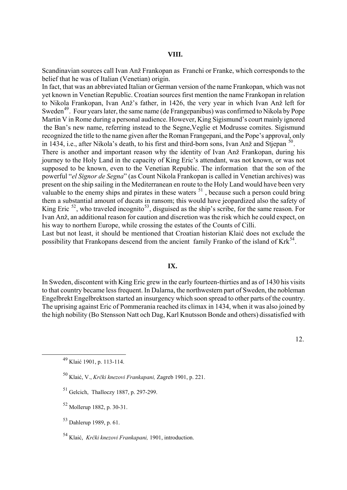Scandinavian sources call Ivan Anž Frankopan as Franchi or Franke, which corresponds to the belief that he was of Italian (Venetian) origin.

In fact, that was an abbreviated Italian or German version of the name Frankopan, which was not yet known in Venetian Republic. Croatian sources first mention the name Frankopan in relation to Nikola Frankopan, Ivan Anž's father, in 1426, the very year in which Ivan Anž left for Sweden<sup>[49](#page-10-0)</sup>. Four years later, the same name (de Frangepanibus) was confirmed to Nikola by Pope Martin V in Rome during a personal audience. However, King Sigismund's court mainly ignored the Ban's new name, referring instead to the Segne,Veglie et Modrusse comites. Sigismund recognized the title to the name given after the Roman Frangepani, and the Pope's approval, only in 1434, i.e., after Nikola's death, to his first and third-born sons, Ivan Anž and Stjepan [50](#page-10-1).

There is another and important reason why the identity of Ivan Anž Frankopan, during his journey to the Holy Land in the capacity of King Eric's attendant, was not known, or was not supposed to be known, even to the Venetian Republic. The information that the son of the powerful "*el Signor de Segna*" (as Count Nikola Frankopan is called in Venetian archives) was present on the ship sailing in the Mediterranean en route to the Holy Land would have been very valuable to the enemy ships and pirates in these waters  $51$ , because such a person could bring them a substantial amount of ducats in ransom; this would have jeopardized also the safety of King Eric  $52$ , who traveled incognito<sup>[53](#page-10-4)</sup>, disguised as the ship's scribe, for the same reason. For Ivan Anž, an additional reason for caution and discretion was the risk which he could expect, on his way to northern Europe, while crossing the estates of the Counts of Cilli.

Last but not least, it should be mentioned that Croatian historian Klaić does not exclude the possibility that Frankopans descend from the ancient family Franko of the island of  $Krk^{54}$  $Krk^{54}$  $Krk^{54}$ .

# **IX.**

In Sweden, discontent with King Eric grew in the early fourteen-thirties and as of 1430 his visits to that country became less frequent. In Dalarna, the northwestern part of Sweden, the nobleman Engelbrekt Engelbrektson started an insurgency which soon spread to other parts of the country. The uprising against Eric of Pommerania reached its climax in 1434, when it was also joined by the high nobility (Bo Stensson Natt och Dag, Karl Knutsson Bonde and others) dissatisfied with

- <span id="page-10-2"></span>51 Gelcich, Thalloczy 1887, p. 297-299.
- <span id="page-10-3"></span>52 Mollerup 1882, p. 30-31.
- <span id="page-10-4"></span>53 Dahlerup 1989, p. 61.

 <sup>12.</sup> 

<span id="page-10-0"></span> <sup>49</sup> Klaić 1901, p. 113-114.

<span id="page-10-1"></span><sup>50</sup> Klaić, V., *Krčki knezovi Frankapani,* Zagreb 1901, p. 221.

<span id="page-10-5"></span><sup>54</sup> Klaić, *Krčki knezovi Frankapani,* 1901, introduction.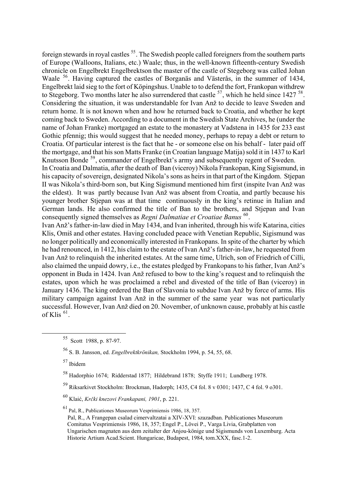foreign stewards in royal castles <sup>55</sup>. The Swedish people called foreigners from the southern parts of Europe (Walloons, Italians, etc.) Waale; thus, in the well-known fifteenth-century Swedish chronicle on Engelbrekt Engelbrektson the master of the castle of Stegeborg was called Johan Waale [56](#page-11-1). Having captured the castles of Borganäs and Västerås, in the summer of 1434, Engelbrekt laid sieg to the fort of Köpingshus. Unable to to defend the fort, Frankopan withdrew to Stegeborg. Two months later he also surrendered that castle  $57$ , which he held since 1427  $58$ . Considering the situation, it was understandable for Ivan Anž to decide to leave Sweden and return home. It is not known when and how he returned back to Croatia, and whether he kept coming back to Sweden. According to a document in the Swedish State Archives, he (under the name of Johan Franke) mortgaged an estate to the monastery at Vadstena in 1435 for 233 east Gothic pfennig; this would suggest that he needed money, perhaps to repay a debt or return to Croatia. Of particular interest is the fact that he - or someone else on his behalf - later paid off the mortgage, and that his son Matts Franke (in Croatian language Matija) sold it in 1437 to Karl Knutsson Bonde [59](#page-11-4), commander of Engelbrekt's army and subsequently regent of Sweden.

In Croatia and Dalmatia, after the death of Ban (viceroy) Nikola Frankopan, King Sigismund, in his capacity of sovereign, designated Nikola's sons as heirs in that part of the Kingdom. Stiepan II was Nikola's third-born son, but King Sigismund mentioned him first (inspite Ivan Anž was the eldest). It was partly because Ivan Anž was absent from Croatia, and partly because his younger brother Stjepan was at that time continuously in the king's retinue in Italian and German lands. He also confirmed the title of Ban to the brothers, and Stjepan and Ivan consequently signed themselves as *Regni Dalmatiae et Croatiae Banus* [60](#page-11-5).

Ivan Anž's father-in-law died in May 1434, and Ivan inherited, through his wife Katarina, cities Klis, Omiš and other estates. Having concluded peace with Venetian Republic, Sigismund was no longer politically and economically interested in Frankopans. In spite of the charter by which he had renounced, in 1412, his claim to the estate of Ivan Anž's father-in-law, he requested from Ivan Anž to relinquish the inherited estates. At the same time, Ulrich, son of Friedrich of Cilli, also claimed the unpaid dowry, i.e., the estates pledged by Frankopans to his father, Ivan Anž's opponent in Buda in 1424. Ivan Anž refused to bow to the king's request and to relinquish the estates, upon which he was proclaimed a rebel and divested of the title of Ban (viceroy) in January 1436. The king ordered the Ban of Slavonia to subdue Ivan Anž by force of arms. His military campaign against Ivan Anž in the summer of the same year was not particularly successful. However, Ivan Anž died on 20. November, of unknown cause, probably at his castle of Klis  $61$ .

<span id="page-11-0"></span> <sup>55</sup> Scott 1988, p. 87-97.

<span id="page-11-1"></span><sup>56</sup> S. B. Jansson, ed. *Engelbrektkrönikan,* Stockholm 1994, p. 54, 55, 68.

<span id="page-11-2"></span><sup>57</sup> Ibidem

<span id="page-11-3"></span><sup>58</sup> Hadorphio 1674; Ridderstad 1877; Hildebrand 1878; Styffe 1911; Lundberg 1978.

<span id="page-11-4"></span><sup>59</sup> Riksarkivet Stockholm: Brockman, Hadorph; 1435, C4 fol. 8 v 0301; 1437, C 4 fol. 9 o301.

<span id="page-11-5"></span><sup>60</sup> Klaić, *Krčki knezovi Frankapani, 1901*, p. 221.

<span id="page-11-6"></span><sup>61</sup> Pal, R., Publicationes Museorum Vesprimiensis 1986, 18, 357.

Pal, R., A Frangepan csalad cimervaltzatai a XIV-XVI: szazadban. Publicationes Museorum Comitatus Vesprimiensis 1986, 18, 357; Engel P., Lövei P., Varga Livia, Grabplatten von Ungarischen magnaten aus dem zeitalter der Anjou-könige und Sigismunds von Luxemburg. Acta Historie Artium Acad.Scient. Hungaricae, Budapest, 1984, tom.XXX, fasc.1-2.